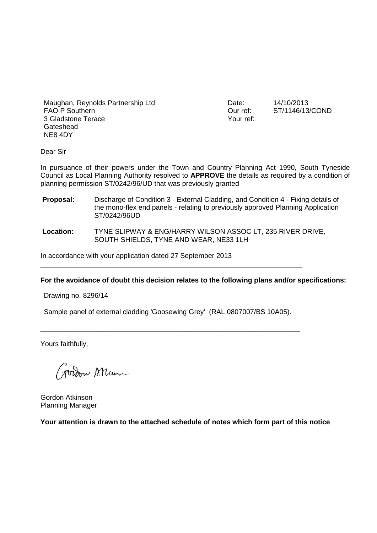Maughan, Reynolds Partnership Ltd FAO P Southern 3 Gladstone Terace Gateshead NE8 4DY

Date: 14/10/2013<br>Our ref: ST/1146/13 Your ref:

ST/1146/13/COND

Dear Sir

In pursuance of their powers under the Town and Country Planning Act 1990, South Tyneside Council as Local Planning Authority resolved to **APPROVE** the details as required by a condition of planning permission ST/0242/96/UD that was previously granted

- **Proposal:** Discharge of Condition 3 External Cladding, and Condition 4 Fixing details of the mono-flex end panels - relating to previously approved Planning Application ST/0242/96UD
- **Location:** TYNE SLIPWAY & ENG/HARRY WILSON ASSOC LT, 235 RIVER DRIVE, SOUTH SHIELDS, TYNE AND WEAR, NE33 1LH

In accordance with your application dated 27 September 2013

## **For the avoidance of doubt this decision relates to the following plans and/or specifications:**

Drawing no. 8296/14

Sample panel of external cladding 'Goosewing Grey' (RAL 0807007/BS 10A05).

\_\_\_\_\_\_\_\_\_\_\_\_\_\_\_\_\_\_\_\_\_\_\_\_\_\_\_\_\_\_\_\_\_\_\_\_\_\_\_\_\_\_\_\_\_\_\_\_\_\_\_\_\_\_\_\_\_\_\_\_\_\_\_\_\_\_\_

\_\_\_\_\_\_\_\_\_\_\_\_\_\_\_\_\_\_\_\_\_\_\_\_\_\_\_\_\_\_\_\_\_\_\_\_\_\_\_\_\_\_\_\_\_\_\_\_\_\_\_\_\_\_\_\_\_\_\_\_\_\_

Yours faithfully,

Jordon Skun

Gordon Atkinson Planning Manager

**Your attention is drawn to the attached schedule of notes which form part of this notice**